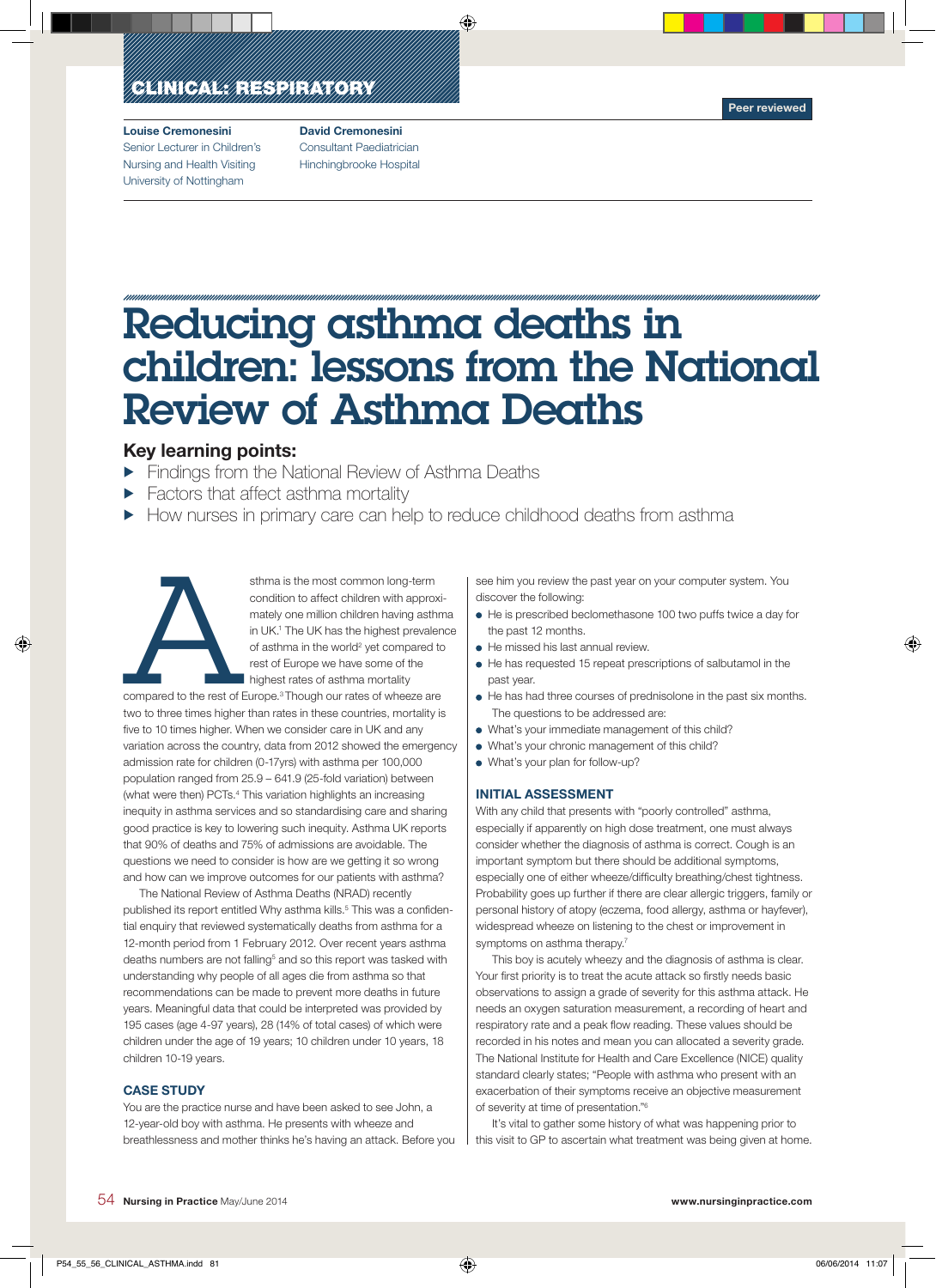## ECLINICA NEW ELECTROPICA

#### Louise Cremonesini Senior Lecturer in Children's Nursing and Health Visiting University of Nottingham

David Cremonesini Consultant Paediatrician Hinchingbrooke Hospital

# Reducing asthma deaths in children: lessons from the National Review of Asthma Deaths

⊕

### Key learning points:

- $\blacktriangleright$  Findings from the National Review of Asthma Deaths
- $\blacktriangleright$  Factors that affect asthma mortality
- How nurses in primary care can help to reduce childhood deaths from asthma



◈

sthma is the most common long-term<br>
condition to affect children with approve<br>
mately one million children having asth<br>
in UK.<sup>1</sup> The UK has the highest prevale<br>
of asthma in the world<sup>2</sup> yet compared<br>
rest of Europe we ha condition to affect children with approximately one million children having asthma in UK.1 The UK has the highest prevalence of asthma in the world<sup>2</sup> yet compared to rest of Europe we have some of the highest rates of asthma mortality

compared to the rest of Europe.3 Though our rates of wheeze are two to three times higher than rates in these countries, mortality is five to 10 times higher. When we consider care in UK and any variation across the country, data from 2012 showed the emergency admission rate for children (0-17yrs) with asthma per 100,000 population ranged from 25.9 – 641.9 (25-fold variation) between (what were then) PCTs.4 This variation highlights an increasing inequity in asthma services and so standardising care and sharing good practice is key to lowering such inequity. Asthma UK reports that 90% of deaths and 75% of admissions are avoidable. The questions we need to consider is how are we getting it so wrong and how can we improve outcomes for our patients with asthma?

The National Review of Asthma Deaths (NRAD) recently published its report entitled Why asthma kills.<sup>5</sup> This was a confidential enquiry that reviewed systematically deaths from asthma for a 12-month period from 1 February 2012. Over recent years asthma deaths numbers are not falling<sup>5</sup> and so this report was tasked with understanding why people of all ages die from asthma so that recommendations can be made to prevent more deaths in future years. Meaningful data that could be interpreted was provided by 195 cases (age 4-97 years), 28 (14% of total cases) of which were children under the age of 19 years; 10 children under 10 years, 18 children 10-19 years.

#### **CASE STUDY**

You are the practice nurse and have been asked to see John, a 12-year-old boy with asthma. He presents with wheeze and breathlessness and mother thinks he's having an attack. Before you see him you review the past year on your computer system. You discover the following:

- He is prescribed beclomethasone 100 two puffs twice a day for the past 12 months.
- He missed his last annual review.
- He has requested 15 repeat prescriptions of salbutamol in the past year.
- $\bullet$  He has had three courses of prednisolone in the past six months. The questions to be addressed are:
- What's your immediate management of this child?
- What's your chronic management of this child?
- What's your plan for follow-up?

#### Initial assessment

With any child that presents with "poorly controlled" asthma, especially if apparently on high dose treatment, one must always consider whether the diagnosis of asthma is correct. Cough is an important symptom but there should be additional symptoms, especially one of either wheeze/difficulty breathing/chest tightness. Probability goes up further if there are clear allergic triggers, family or personal history of atopy (eczema, food allergy, asthma or hayfever), widespread wheeze on listening to the chest or improvement in symptoms on asthma therapy.<sup>7</sup>

This boy is acutely wheezy and the diagnosis of asthma is clear. Your first priority is to treat the acute attack so firstly needs basic observations to assign a grade of severity for this asthma attack. He needs an oxygen saturation measurement, a recording of heart and respiratory rate and a peak flow reading. These values should be recorded in his notes and mean you can allocated a severity grade. The National Institute for Health and Care Excellence (NICE) quality standard clearly states; "People with asthma who present with an exacerbation of their symptoms receive an objective measurement of severity at time of presentation."6

It's vital to gather some history of what was happening prior to this visit to GP to ascertain what treatment was being given at home. ◈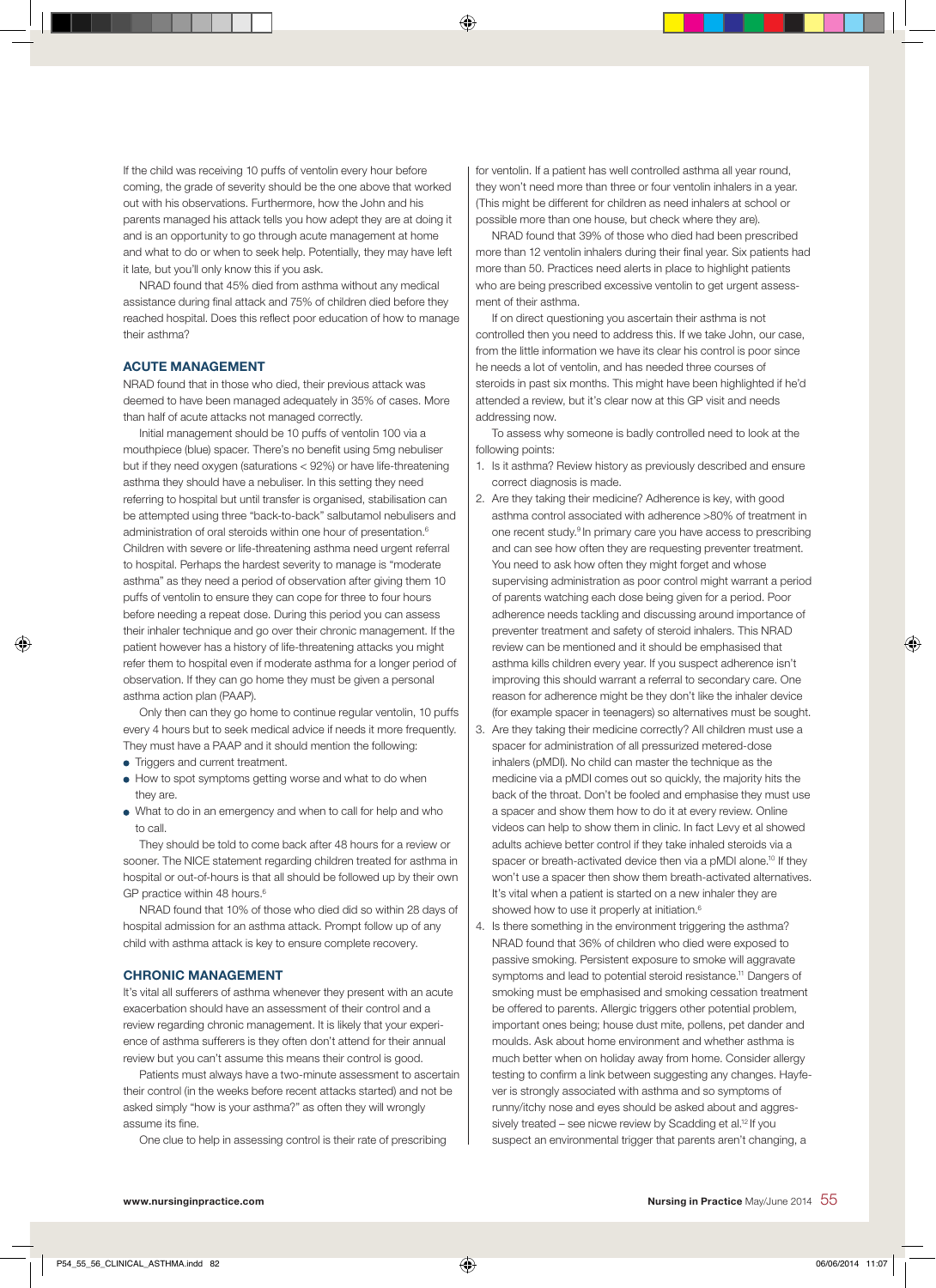If the child was receiving 10 puffs of ventolin every hour before coming, the grade of severity should be the one above that worked out with his observations. Furthermore, how the John and his parents managed his attack tells you how adept they are at doing it and is an opportunity to go through acute management at home and what to do or when to seek help. Potentially, they may have left it late, but you'll only know this if you ask.

NRAD found that 45% died from asthma without any medical assistance during final attack and 75% of children died before they reached hospital. Does this reflect poor education of how to manage their asthma?

#### Acute management

NRAD found that in those who died, their previous attack was deemed to have been managed adequately in 35% of cases. More than half of acute attacks not managed correctly.

Initial management should be 10 puffs of ventolin 100 via a mouthpiece (blue) spacer. There's no benefit using 5mg nebuliser but if they need oxygen (saturations < 92%) or have life-threatening asthma they should have a nebuliser. In this setting they need referring to hospital but until transfer is organised, stabilisation can be attempted using three "back-to-back" salbutamol nebulisers and administration of oral steroids within one hour of presentation.<sup>6</sup> Children with severe or life-threatening asthma need urgent referral to hospital. Perhaps the hardest severity to manage is "moderate asthma" as they need a period of observation after giving them 10 puffs of ventolin to ensure they can cope for three to four hours before needing a repeat dose. During this period you can assess their inhaler technique and go over their chronic management. If the patient however has a history of life-threatening attacks you might refer them to hospital even if moderate asthma for a longer period of observation. If they can go home they must be given a personal asthma action plan (PAAP).

Only then can they go home to continue regular ventolin, 10 puffs every 4 hours but to seek medical advice if needs it more frequently. They must have a PAAP and it should mention the following:

• Triggers and current treatment.

◈

- How to spot symptoms getting worse and what to do when they are.
- What to do in an emergency and when to call for help and who to call

They should be told to come back after 48 hours for a review or sooner. The NICE statement regarding children treated for asthma in hospital or out-of-hours is that all should be followed up by their own GP practice within 48 hours.<sup>6</sup>

NRAD found that 10% of those who died did so within 28 days of hospital admission for an asthma attack. Prompt follow up of any child with asthma attack is key to ensure complete recovery.

#### **CHRONIC MANAGEMENT**

It's vital all sufferers of asthma whenever they present with an acute exacerbation should have an assessment of their control and a review regarding chronic management. It is likely that your experience of asthma sufferers is they often don't attend for their annual review but you can't assume this means their control is good.

Patients must always have a two-minute assessment to ascertain their control (in the weeks before recent attacks started) and not be asked simply "how is your asthma?" as often they will wrongly assume its fine.

One clue to help in assessing control is their rate of prescribing

for ventolin. If a patient has well controlled asthma all year round, they won't need more than three or four ventolin inhalers in a year. (This might be different for children as need inhalers at school or possible more than one house, but check where they are).

⊕

NRAD found that 39% of those who died had been prescribed more than 12 ventolin inhalers during their final year. Six patients had more than 50. Practices need alerts in place to highlight patients who are being prescribed excessive ventolin to get urgent assessment of their asthma.

If on direct questioning you ascertain their asthma is not controlled then you need to address this. If we take John, our case, from the little information we have its clear his control is poor since he needs a lot of ventolin, and has needed three courses of steroids in past six months. This might have been highlighted if he'd attended a review, but it's clear now at this GP visit and needs addressing now.

To assess why someone is badly controlled need to look at the following points:

- 1. Is it asthma? Review history as previously described and ensure correct diagnosis is made.
- 2. Are they taking their medicine? Adherence is key, with good asthma control associated with adherence >80% of treatment in one recent study.9 In primary care you have access to prescribing and can see how often they are requesting preventer treatment. You need to ask how often they might forget and whose supervising administration as poor control might warrant a period of parents watching each dose being given for a period. Poor adherence needs tackling and discussing around importance of preventer treatment and safety of steroid inhalers. This NRAD review can be mentioned and it should be emphasised that asthma kills children every year. If you suspect adherence isn't improving this should warrant a referral to secondary care. One reason for adherence might be they don't like the inhaler device (for example spacer in teenagers) so alternatives must be sought.
- 3. Are they taking their medicine correctly? All children must use a spacer for administration of all pressurized metered-dose inhalers (pMDI). No child can master the technique as the medicine via a pMDI comes out so quickly, the majority hits the back of the throat. Don't be fooled and emphasise they must use a spacer and show them how to do it at every review. Online videos can help to show them in clinic. In fact Levy et al showed adults achieve better control if they take inhaled steroids via a spacer or breath-activated device then via a pMDI alone.<sup>10</sup> If they won't use a spacer then show them breath-activated alternatives. It's vital when a patient is started on a new inhaler they are showed how to use it properly at initiation.<sup>6</sup>
- 4. Is there something in the environment triggering the asthma? NRAD found that 36% of children who died were exposed to passive smoking. Persistent exposure to smoke will aggravate symptoms and lead to potential steroid resistance.<sup>11</sup> Dangers of smoking must be emphasised and smoking cessation treatment be offered to parents. Allergic triggers other potential problem, important ones being; house dust mite, pollens, pet dander and moulds. Ask about home environment and whether asthma is much better when on holiday away from home. Consider allergy testing to confirm a link between suggesting any changes. Hayfever is strongly associated with asthma and so symptoms of runny/itchy nose and eyes should be asked about and aggressively treated – see nicwe review by Scadding et al.<sup>12</sup> If you suspect an environmental trigger that parents aren't changing, a

◈